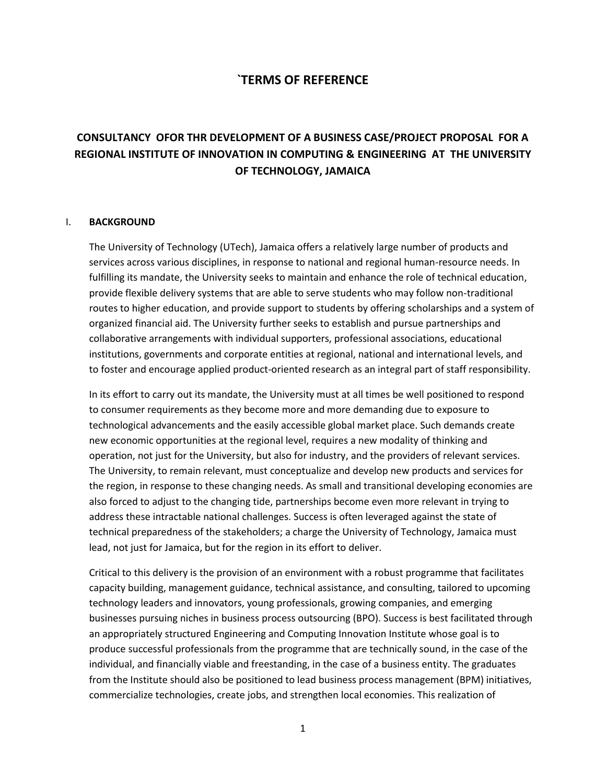## **`TERMS OF REFERENCE**

# **CONSULTANCY OFOR THR DEVELOPMENT OF A BUSINESS CASE/PROJECT PROPOSAL FOR A REGIONAL INSTITUTE OF INNOVATION IN COMPUTING & ENGINEERING AT THE UNIVERSITY OF TECHNOLOGY, JAMAICA**

#### I. **BACKGROUND**

The University of Technology (UTech), Jamaica offers a relatively large number of products and services across various disciplines, in response to national and regional human-resource needs. In fulfilling its mandate, the University seeks to maintain and enhance the role of technical education, provide flexible delivery systems that are able to serve students who may follow non-traditional routes to higher education, and provide support to students by offering scholarships and a system of organized financial aid. The University further seeks to establish and pursue partnerships and collaborative arrangements with individual supporters, professional associations, educational institutions, governments and corporate entities at regional, national and international levels, and to foster and encourage applied product-oriented research as an integral part of staff responsibility.

In its effort to carry out its mandate, the University must at all times be well positioned to respond to consumer requirements as they become more and more demanding due to exposure to technological advancements and the easily accessible global market place. Such demands create new economic opportunities at the regional level, requires a new modality of thinking and operation, not just for the University, but also for industry, and the providers of relevant services. The University, to remain relevant, must conceptualize and develop new products and services for the region, in response to these changing needs. As small and transitional developing economies are also forced to adjust to the changing tide, partnerships become even more relevant in trying to address these intractable national challenges. Success is often leveraged against the state of technical preparedness of the stakeholders; a charge the University of Technology, Jamaica must lead, not just for Jamaica, but for the region in its effort to deliver.

Critical to this delivery is the provision of an environment with a robust programme that facilitates capacity building, management guidance, technical assistance, and consulting, tailored to upcoming technology leaders and innovators, young professionals, growing companies, and emerging businesses pursuing niches in business process outsourcing (BPO). Success is best facilitated through an appropriately structured Engineering and Computing Innovation Institute whose goal is to produce successful professionals from the programme that are technically sound, in the case of the individual, and financially viable and freestanding, in the case of a business entity. The graduates from the Institute should also be positioned to lead business process management (BPM) initiatives, commercialize technologies, create jobs, and strengthen local economies. This realization of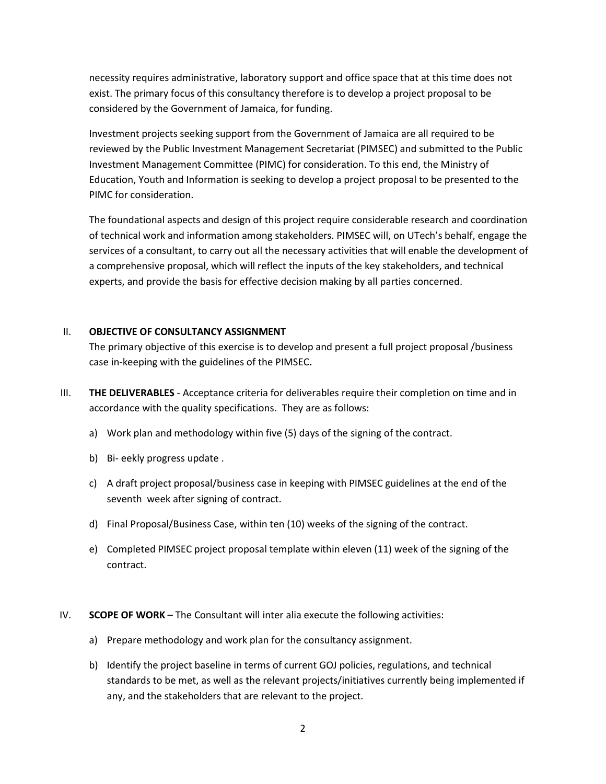necessity requires administrative, laboratory support and office space that at this time does not exist. The primary focus of this consultancy therefore is to develop a project proposal to be considered by the Government of Jamaica, for funding.

Investment projects seeking support from the Government of Jamaica are all required to be reviewed by the Public Investment Management Secretariat (PIMSEC) and submitted to the Public Investment Management Committee (PIMC) for consideration. To this end, the Ministry of Education, Youth and Information is seeking to develop a project proposal to be presented to the PIMC for consideration.

The foundational aspects and design of this project require considerable research and coordination of technical work and information among stakeholders. PIMSEC will, on UTech's behalf, engage the services of a consultant, to carry out all the necessary activities that will enable the development of a comprehensive proposal, which will reflect the inputs of the key stakeholders, and technical experts, and provide the basis for effective decision making by all parties concerned.

#### II. **OBJECTIVE OF CONSULTANCY ASSIGNMENT**

The primary objective of this exercise is to develop and present a full project proposal /business case in-keeping with the guidelines of the PIMSEC**.** 

- III. **THE DELIVERABLES** Acceptance criteria for deliverables require their completion on time and in accordance with the quality specifications. They are as follows:
	- a) Work plan and methodology within five (5) days of the signing of the contract.
	- b) Bi- eekly progress update .
	- c) A draft project proposal/business case in keeping with PIMSEC guidelines at the end of the seventh week after signing of contract.
	- d) Final Proposal/Business Case, within ten (10) weeks of the signing of the contract.
	- e) Completed PIMSEC project proposal template within eleven (11) week of the signing of the contract.
- IV. **SCOPE OF WORK** The Consultant will inter alia execute the following activities:
	- a) Prepare methodology and work plan for the consultancy assignment.
	- b) Identify the project baseline in terms of current GOJ policies, regulations, and technical standards to be met, as well as the relevant projects/initiatives currently being implemented if any, and the stakeholders that are relevant to the project.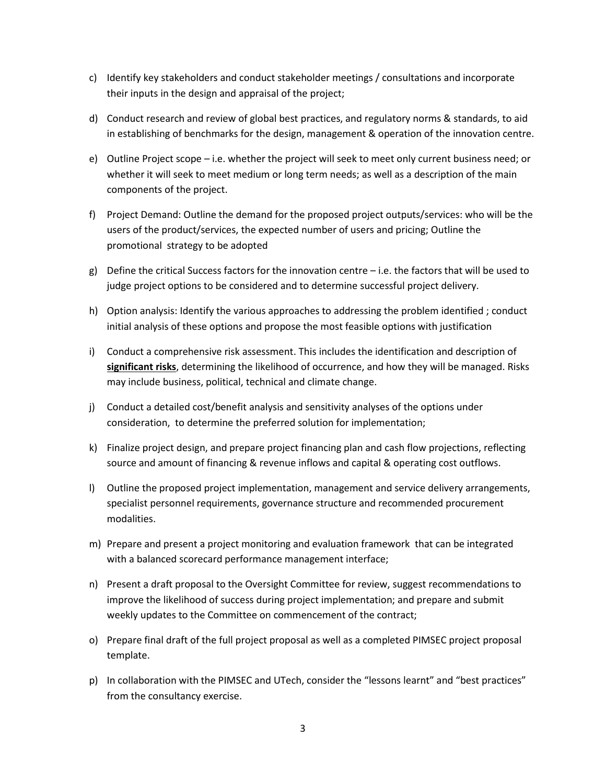- c) Identify key stakeholders and conduct stakeholder meetings / consultations and incorporate their inputs in the design and appraisal of the project;
- d) Conduct research and review of global best practices, and regulatory norms & standards, to aid in establishing of benchmarks for the design, management & operation of the innovation centre.
- e) Outline Project scope i.e. whether the project will seek to meet only current business need; or whether it will seek to meet medium or long term needs; as well as a description of the main components of the project.
- f) Project Demand: Outline the demand for the proposed project outputs/services: who will be the users of the product/services, the expected number of users and pricing; Outline the promotional strategy to be adopted
- g) Define the critical Success factors for the innovation centre  $-$  i.e. the factors that will be used to judge project options to be considered and to determine successful project delivery.
- h) Option analysis: Identify the various approaches to addressing the problem identified ; conduct initial analysis of these options and propose the most feasible options with justification
- i) Conduct a comprehensive risk assessment. This includes the identification and description of **significant risks**, determining the likelihood of occurrence, and how they will be managed. Risks may include business, political, technical and climate change.
- j) Conduct a detailed cost/benefit analysis and sensitivity analyses of the options under consideration, to determine the preferred solution for implementation;
- k) Finalize project design, and prepare project financing plan and cash flow projections, reflecting source and amount of financing & revenue inflows and capital & operating cost outflows.
- l) Outline the proposed project implementation, management and service delivery arrangements, specialist personnel requirements, governance structure and recommended procurement modalities.
- m) Prepare and present a project monitoring and evaluation framework that can be integrated with a balanced scorecard performance management interface;
- n) Present a draft proposal to the Oversight Committee for review, suggest recommendations to improve the likelihood of success during project implementation; and prepare and submit weekly updates to the Committee on commencement of the contract;
- o) Prepare final draft of the full project proposal as well as a completed PIMSEC project proposal template.
- p) In collaboration with the PIMSEC and UTech, consider the "lessons learnt" and "best practices" from the consultancy exercise.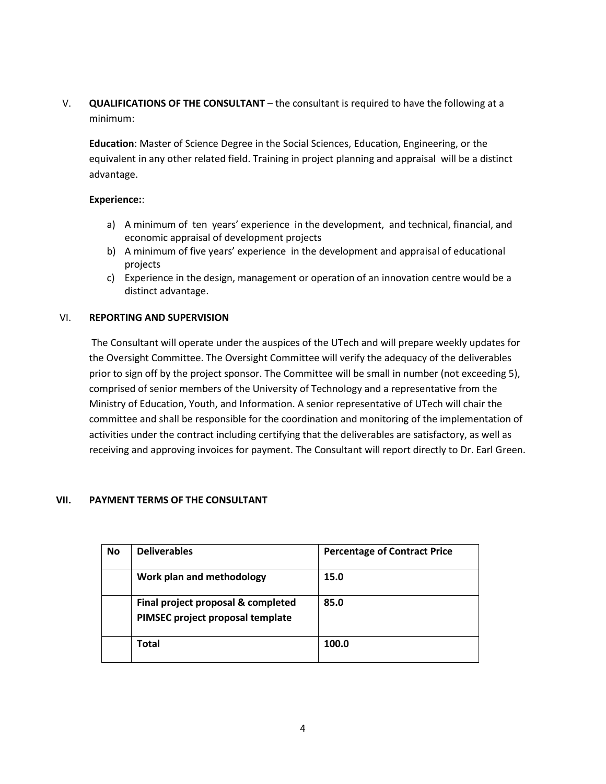V. **QUALIFICATIONS OF THE CONSULTANT** – the consultant is required to have the following at a minimum:

**Education**: Master of Science Degree in the Social Sciences, Education, Engineering, or the equivalent in any other related field. Training in project planning and appraisal will be a distinct advantage.

### **Experience:**:

- a) A minimum of ten years' experience in the development, and technical, financial, and economic appraisal of development projects
- b) A minimum of five years' experience in the development and appraisal of educational projects
- c) Experience in the design, management or operation of an innovation centre would be a distinct advantage.

## VI. **REPORTING AND SUPERVISION**

The Consultant will operate under the auspices of the UTech and will prepare weekly updates for the Oversight Committee. The Oversight Committee will verify the adequacy of the deliverables prior to sign off by the project sponsor. The Committee will be small in number (not exceeding 5), comprised of senior members of the University of Technology and a representative from the Ministry of Education, Youth, and Information. A senior representative of UTech will chair the committee and shall be responsible for the coordination and monitoring of the implementation of activities under the contract including certifying that the deliverables are satisfactory, as well as receiving and approving invoices for payment. The Consultant will report directly to Dr. Earl Green.

## **VII. PAYMENT TERMS OF THE CONSULTANT**

| <b>No</b> | <b>Deliverables</b>                                                    | <b>Percentage of Contract Price</b> |
|-----------|------------------------------------------------------------------------|-------------------------------------|
|           | Work plan and methodology                                              | 15.0                                |
|           | Final project proposal & completed<br>PIMSEC project proposal template | 85.0                                |
|           | <b>Total</b>                                                           | 100.0                               |